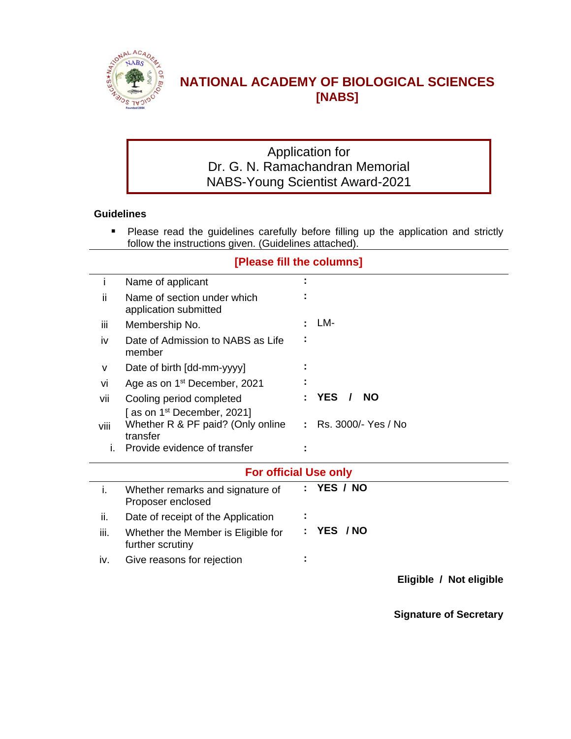

## **NATIONAL ACADEMY OF BIOLOGICAL SCIENCES [NABS]**

## Application for Dr. G. N. Ramachandran Memorial NABS-Young Scientist Award-2021

#### **Guidelines**

**Please read the guidelines carefully before filling up the application and strictly** follow the instructions given. (Guidelines attached).

|      | [Please fill the columns]                                                     |  |                                     |  |  |  |  |
|------|-------------------------------------------------------------------------------|--|-------------------------------------|--|--|--|--|
| j.   | Name of applicant                                                             |  |                                     |  |  |  |  |
| ii   | Name of section under which<br>application submitted                          |  |                                     |  |  |  |  |
| iii  | Membership No.                                                                |  | LM-                                 |  |  |  |  |
| iv   | Date of Admission to NABS as Life<br>member                                   |  |                                     |  |  |  |  |
| V    | Date of birth [dd-mm-yyyy]                                                    |  |                                     |  |  |  |  |
| vi   | Age as on 1 <sup>st</sup> December, 2021                                      |  |                                     |  |  |  |  |
| vii  | Cooling period completed                                                      |  | <b>YES</b><br><b>NO</b><br>$\prime$ |  |  |  |  |
| viii | [as on $1st$ December, 2021]<br>Whether R & PF paid? (Only online<br>transfer |  | Rs. 3000/- Yes / No                 |  |  |  |  |
| L.   | Provide evidence of transfer                                                  |  |                                     |  |  |  |  |
|      | <b>For official Use only</b>                                                  |  |                                     |  |  |  |  |
| i.   | Whether remarks and signature of<br>Proposer enclosed                         |  | YES / NO                            |  |  |  |  |
| ii.  | Date of receipt of the Application                                            |  |                                     |  |  |  |  |
| iii. | Whether the Member is Eligible for<br>further scrutiny                        |  | YES / NO                            |  |  |  |  |
| iv.  | Give reasons for rejection                                                    |  |                                     |  |  |  |  |

**Eligible / Not eligible**

**Signature of Secretary**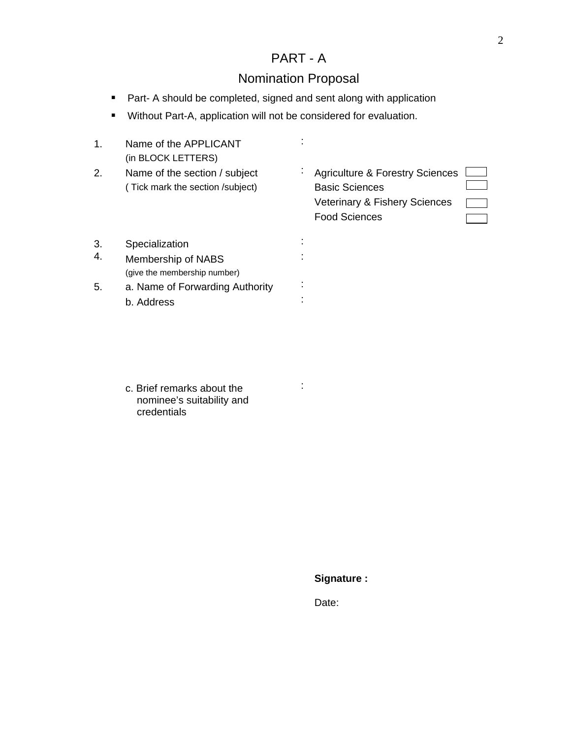## PART - A

# Nomination Proposal

- **Part- A should be completed, signed and sent along with application**
- Without Part-A, application will not be considered for evaluation.

| 1. | Name of the APPLICANT<br>(in BLOCK LETTERS)                            |   |                                                                                                                              |
|----|------------------------------------------------------------------------|---|------------------------------------------------------------------------------------------------------------------------------|
| 2. | Name of the section / subject<br>(Tick mark the section /subject)      | ÷ | <b>Agriculture &amp; Forestry Sciences</b><br><b>Basic Sciences</b><br>Veterinary & Fishery Sciences<br><b>Food Sciences</b> |
| 3. | Specialization                                                         |   |                                                                                                                              |
| 4. | Membership of NABS<br>(give the membership number)                     |   |                                                                                                                              |
| 5. | a. Name of Forwarding Authority                                        |   |                                                                                                                              |
|    | b. Address                                                             |   |                                                                                                                              |
|    | c. Brief remarks about the<br>nominee's suitability and<br>credentials |   |                                                                                                                              |
|    |                                                                        |   | Signature:                                                                                                                   |
|    |                                                                        |   |                                                                                                                              |
|    |                                                                        |   | Date:                                                                                                                        |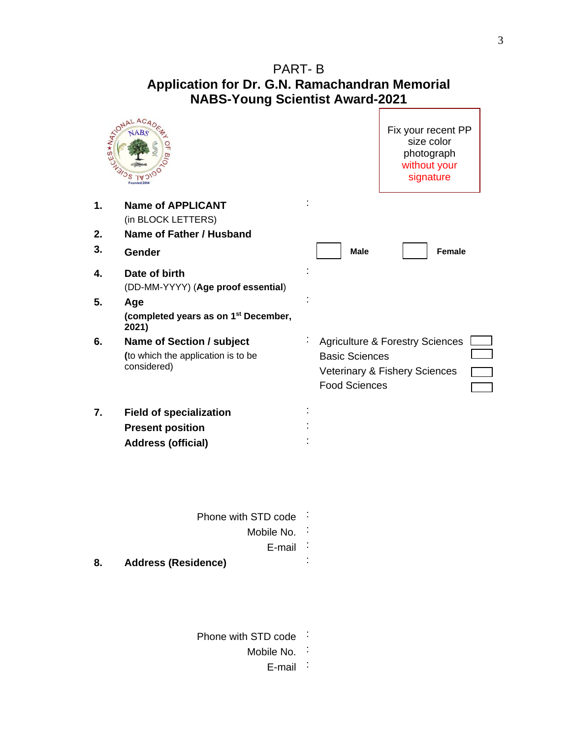## PART- B **Application for Dr. G.N. Ramachandran Memorial NABS-Young Scientist Award-2021**

|    | TONAL ACAD<br>Founded 200                                                      |                                                                                                                              | Fix your recent PP<br>size color<br>photograph<br>without your<br>signature |  |
|----|--------------------------------------------------------------------------------|------------------------------------------------------------------------------------------------------------------------------|-----------------------------------------------------------------------------|--|
| 1. | <b>Name of APPLICANT</b><br>(in BLOCK LETTERS)                                 |                                                                                                                              |                                                                             |  |
| 2. | Name of Father / Husband                                                       |                                                                                                                              |                                                                             |  |
| 3. | Gender                                                                         | <b>Male</b>                                                                                                                  | <b>Female</b>                                                               |  |
| 4. | Date of birth<br>(DD-MM-YYYY) (Age proof essential)                            |                                                                                                                              |                                                                             |  |
| 5. | Age<br>(completed years as on 1 <sup>st</sup> December,<br>2021)               |                                                                                                                              |                                                                             |  |
| 6. | Name of Section / subject<br>(to which the application is to be<br>considered) | <b>Agriculture &amp; Forestry Sciences</b><br><b>Basic Sciences</b><br>Veterinary & Fishery Sciences<br><b>Food Sciences</b> |                                                                             |  |
| 7. | <b>Field of specialization</b>                                                 |                                                                                                                              |                                                                             |  |
|    | <b>Present position</b>                                                        |                                                                                                                              |                                                                             |  |
|    | <b>Address (official)</b>                                                      |                                                                                                                              |                                                                             |  |
|    | Phone with STD code                                                            |                                                                                                                              |                                                                             |  |
|    | Mobile No.                                                                     |                                                                                                                              |                                                                             |  |
|    | E-mail                                                                         |                                                                                                                              |                                                                             |  |
| 8. | <b>Address (Residence)</b>                                                     |                                                                                                                              |                                                                             |  |
|    | Phone with STD code                                                            |                                                                                                                              |                                                                             |  |
|    | Mobile No.                                                                     |                                                                                                                              |                                                                             |  |
|    | E-mail                                                                         |                                                                                                                              |                                                                             |  |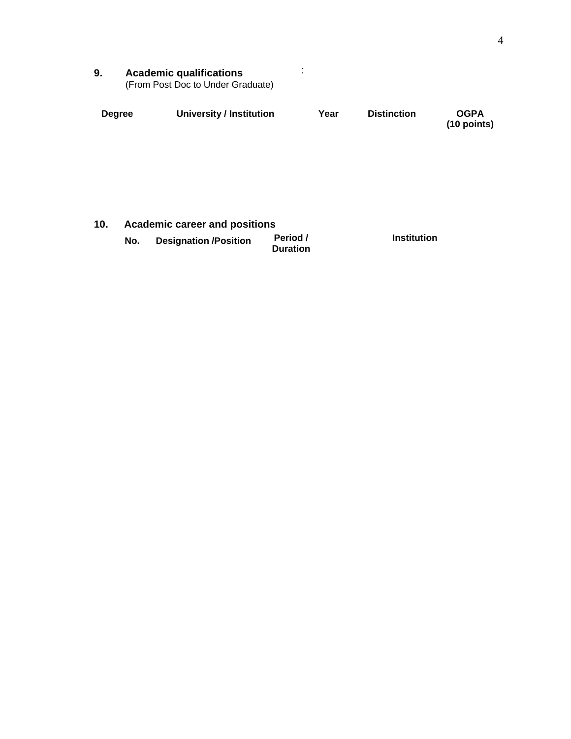| Academic qualifications           |  |  |  |  |  |
|-----------------------------------|--|--|--|--|--|
| (From Post Doc to Under Graduate) |  |  |  |  |  |

| <b>Degree</b> | <b>University / Institution</b> | Year | <b>Distinction</b> | <b>OGPA</b><br>(10 points) |
|---------------|---------------------------------|------|--------------------|----------------------------|
|               |                                 |      |                    |                            |
|               |                                 |      |                    |                            |
|               |                                 |      |                    |                            |
|               |                                 |      |                    |                            |

| 10. | <b>Academic career and positions</b> |                           |                              |                    |  |  |  |
|-----|--------------------------------------|---------------------------|------------------------------|--------------------|--|--|--|
|     |                                      | No. Designation /Position | <b>Period /<br/>Duration</b> | <b>Institution</b> |  |  |  |
|     |                                      |                           |                              |                    |  |  |  |
|     |                                      |                           |                              |                    |  |  |  |
|     |                                      |                           |                              |                    |  |  |  |
|     |                                      |                           |                              |                    |  |  |  |
|     |                                      |                           |                              |                    |  |  |  |
|     |                                      |                           |                              |                    |  |  |  |
|     |                                      |                           |                              |                    |  |  |  |
|     |                                      |                           |                              |                    |  |  |  |
|     |                                      |                           |                              |                    |  |  |  |
|     |                                      |                           |                              |                    |  |  |  |
|     |                                      |                           |                              |                    |  |  |  |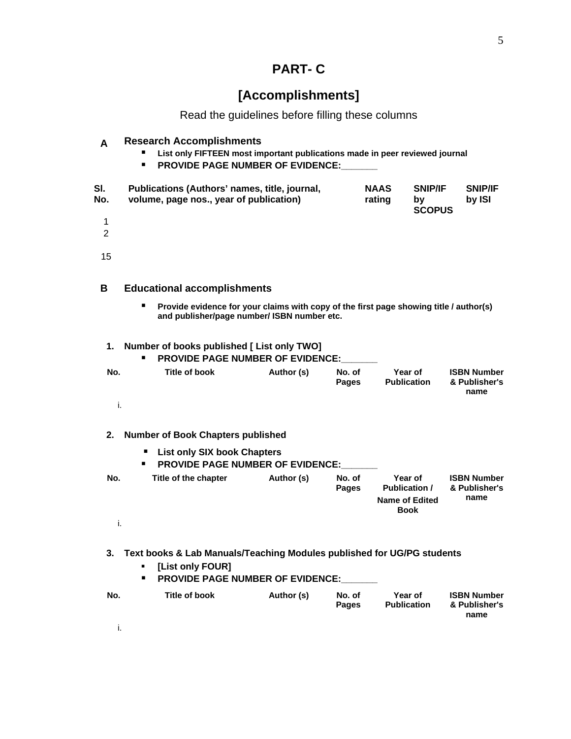# **PART- C**

# **[Accomplishments]**

Read the guidelines before filling these columns

|            | <b>Research Accomplishments</b><br>List only FIFTEEN most important publications made in peer reviewed journal<br><b>PROVIDE PAGE NUMBER OF EVIDENCE:</b><br>$\blacksquare$ |                       |                                       |                          |  |
|------------|-----------------------------------------------------------------------------------------------------------------------------------------------------------------------------|-----------------------|---------------------------------------|--------------------------|--|
| SI.<br>No. | Publications (Authors' names, title, journal,<br>volume, page nos., year of publication)                                                                                    | <b>NAAS</b><br>rating | <b>SNIP/IF</b><br>b۷<br><b>SCOPUS</b> | <b>SNIP/IF</b><br>by ISI |  |
|            |                                                                                                                                                                             |                       |                                       |                          |  |
|            |                                                                                                                                                                             |                       |                                       |                          |  |
|            |                                                                                                                                                                             |                       |                                       |                          |  |
|            |                                                                                                                                                                             |                       |                                       |                          |  |

|  | <b>Educational accomplishments</b>                                                                                                      |
|--|-----------------------------------------------------------------------------------------------------------------------------------------|
|  | ■ Provide evidence for your claims with copy of the first page showing title / author(s)<br>and publisher/page number/ ISBN number etc. |

| 1. Number of books published [ List only TWO]<br><b>PROVIDE PAGE NUMBER OF EVIDENCE:</b> |               |            |                        |                               |                                             |  |  |  |
|------------------------------------------------------------------------------------------|---------------|------------|------------------------|-------------------------------|---------------------------------------------|--|--|--|
| No.                                                                                      | Title of book | Author (s) | No. of<br><b>Pages</b> | Year of<br><b>Publication</b> | <b>ISBN Number</b><br>& Publisher's<br>name |  |  |  |
|                                                                                          |               |            |                        |                               |                                             |  |  |  |

|                                                                                    | 2. Number of Book Chapters published |            |                 |                                                                         |                                             |  |  |  |  |
|------------------------------------------------------------------------------------|--------------------------------------|------------|-----------------|-------------------------------------------------------------------------|---------------------------------------------|--|--|--|--|
| <b>List only SIX book Chapters</b><br><b>PROVIDE PAGE NUMBER OF EVIDENCE:</b><br>п |                                      |            |                 |                                                                         |                                             |  |  |  |  |
| No.                                                                                | Title of the chapter                 | Author (s) | No. of<br>Pages | Year of<br><b>Publication /</b><br><b>Name of Edited</b><br><b>Book</b> | <b>ISBN Number</b><br>& Publisher's<br>name |  |  |  |  |
|                                                                                    |                                      |            |                 |                                                                         |                                             |  |  |  |  |

| 3. Text books & Lab Manuals/Teaching Modules published for UG/PG students<br>[List only FOUR]<br>$\blacksquare$<br><b>PROVIDE PAGE NUMBER OF EVIDENCE:</b><br>п. |               |            |                 |                               |                                             |  |  |
|------------------------------------------------------------------------------------------------------------------------------------------------------------------|---------------|------------|-----------------|-------------------------------|---------------------------------------------|--|--|
| No.                                                                                                                                                              | Title of book | Author (s) | No. of<br>Pages | Year of<br><b>Publication</b> | <b>ISBN Number</b><br>& Publisher's<br>name |  |  |
|                                                                                                                                                                  |               |            |                 |                               |                                             |  |  |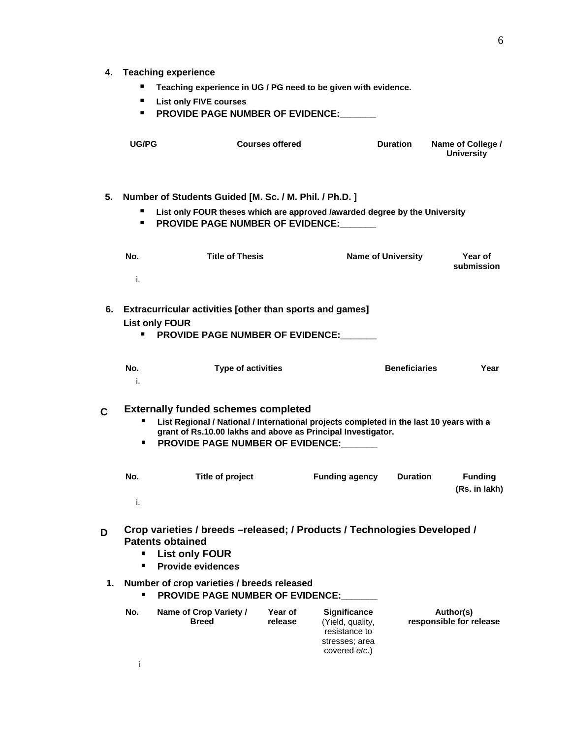#### **4. Teaching experience**

- **Teaching experience in UG / PG need to be given with evidence.**
- **List only FIVE courses**
- **PROVIDE PAGE NUMBER OF EVIDENCE:**

| UG/PG | <b>Courses offered</b> | <b>Duration</b> | Name of College /<br><b>University</b> |
|-------|------------------------|-----------------|----------------------------------------|
|       |                        |                 |                                        |

**5. Number of Students Guided [M. Sc. / M. Phil. / Ph.D. ] List only FOUR theses which are approved /awarded degree by the University PROVIDE PAGE NUMBER OF EVIDENCE:** 

| No. | <b>Title of Thesis</b> | Name of University | Year of<br>submission |
|-----|------------------------|--------------------|-----------------------|
|     |                        |                    |                       |

**6. Extracurricular activities [other than sports and games] List only FOUR**

**PROVIDE PAGE NUMBER OF EVIDENCE:** 

| <br>ישו | $\tau$ ype of activities | <b>Beneficiaries</b> | ------<br>ea <sup>.</sup> |
|---------|--------------------------|----------------------|---------------------------|
|         |                          |                      |                           |

|    | <b>Externally funded schemes completed</b>                                                                                                              |  |
|----|---------------------------------------------------------------------------------------------------------------------------------------------------------|--|
|    | List Regional / National / International projects completed in the last 10 years with a<br>grant of Rs.10.00 lakhs and above as Principal Investigator. |  |
| п. | <b>PROVIDE PAGE NUMBER OF EVIDENCE:</b>                                                                                                                 |  |

| No. | Title of project | <b>Funding agency</b> | <b>Duration</b> | <b>Funding</b><br>(Rs. in lakh) |
|-----|------------------|-----------------------|-----------------|---------------------------------|
|     |                  |                       |                 |                                 |

| Crop varieties / breeds - released; / Products / Technologies Developed /<br><b>Patents obtained</b><br><b>List only FOUR</b><br><b>Provide evidences</b> |                                        |                    |                                                                                             |                                      |
|-----------------------------------------------------------------------------------------------------------------------------------------------------------|----------------------------------------|--------------------|---------------------------------------------------------------------------------------------|--------------------------------------|
| 1. Number of crop varieties / breeds released<br><b>PROVIDE PAGE NUMBER OF EVIDENCE:</b><br>п.                                                            |                                        |                    |                                                                                             |                                      |
| No.                                                                                                                                                       | Name of Crop Variety /<br><b>Breed</b> | Year of<br>release | <b>Significance</b><br>(Yield, quality,<br>resistance to<br>stresses; area<br>covered etc.) | Author(s)<br>responsible for release |
|                                                                                                                                                           |                                        |                    |                                                                                             |                                      |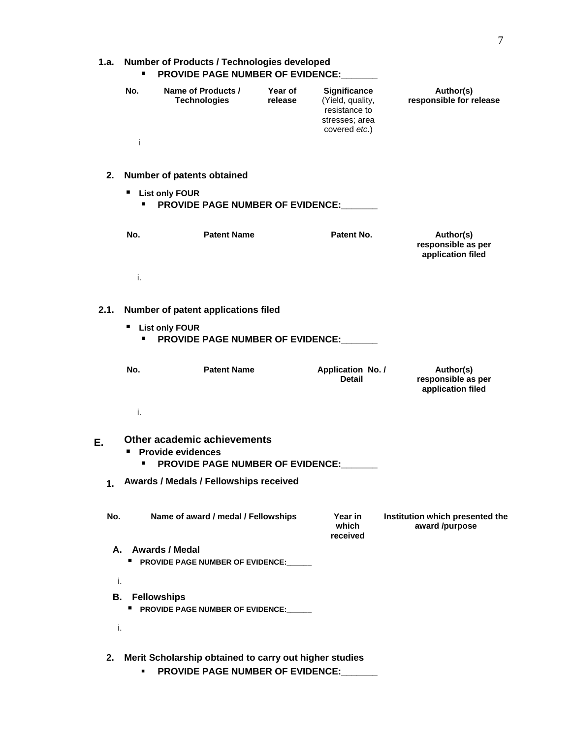| 1.a.   Number of Products / Technologies developed<br><b>PROVIDE PAGE NUMBER OF EVIDENCE:</b> |                                           |                    |                                                                                             |                                      |  |
|-----------------------------------------------------------------------------------------------|-------------------------------------------|--------------------|---------------------------------------------------------------------------------------------|--------------------------------------|--|
| No.                                                                                           | Name of Products /<br><b>Technologies</b> | Year of<br>release | <b>Significance</b><br>(Yield, quality,<br>resistance to<br>stresses; area<br>covered etc.) | Author(s)<br>responsible for release |  |
|                                                                                               |                                           |                    |                                                                                             |                                      |  |

#### **2. Number of patents obtained**

**List only FOUR**

**PROVIDE PAGE NUMBER OF EVIDENCE:\_\_\_\_\_\_\_**

|  | <b>Patent Name</b> | Patent No. | Author(s)<br>responsible as per<br>application filed |
|--|--------------------|------------|------------------------------------------------------|
|  |                    |            |                                                      |

**2.1. Number of patent applications filed List only FOUR PROVIDE PAGE NUMBER OF EVIDENCE:** 

|  | <b>Patent Name</b> | Application No. /<br><b>Detail</b> | Author(s)<br>responsible as per<br>application filed |
|--|--------------------|------------------------------------|------------------------------------------------------|
|  |                    |                                    |                                                      |

| Other academic achievements                   |  |
|-----------------------------------------------|--|
| <b>Provide evidences</b>                      |  |
| <b>PROVIDE PAGE NUMBER OF EVIDENCE:</b>       |  |
| <b>Awards / Medals / Fellowships received</b> |  |

| No. | Name of award / medal / Fellowships                              | Year in<br>which<br>received | Institution which presented the<br>award /purpose |
|-----|------------------------------------------------------------------|------------------------------|---------------------------------------------------|
|     | A. : Awards / Medal<br><b>PROVIDE PAGE NUMBER OF EVIDENCE:</b>   |                              |                                                   |
|     |                                                                  |                              |                                                   |
|     | <b>B.</b> Fellowships<br><b>PROVIDE PAGE NUMBER OF EVIDENCE:</b> |                              |                                                   |
|     |                                                                  |                              |                                                   |

|  | 2. Merit Scholarship obtained to carry out higher studies |
|--|-----------------------------------------------------------|
|  | <b>PROVIDE PAGE NUMBER OF EVIDENCE:</b>                   |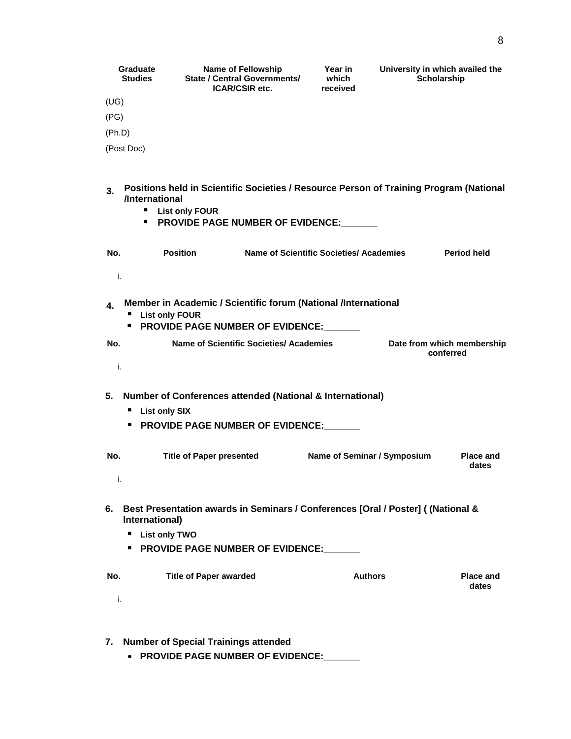| Graduate<br><b>Studies</b> | <b>Name of Fellowship</b><br><b>State / Central Governments/</b><br><b>ICAR/CSIR etc.</b> | Year in<br>which<br>received | University in which availed the<br>Scholarship |
|----------------------------|-------------------------------------------------------------------------------------------|------------------------------|------------------------------------------------|
| υG                         |                                                                                           |                              |                                                |
| (PG)                       |                                                                                           |                              |                                                |
| (Ph.D)                     |                                                                                           |                              |                                                |
| (Post Doc)                 |                                                                                           |                              |                                                |

#### **3. Positions held in Scientific Societies / Resource Person of Training Program (National /International**

- **List only FOUR**
- **PROVIDE PAGE NUMBER OF EVIDENCE:\_\_\_\_\_**

| No. | <b>Position</b> | Name of Scientific Societies/ Academies | Period held |
|-----|-----------------|-----------------------------------------|-------------|
|     |                 |                                         |             |

| Member in Academic / Scientific forum (National /International<br><b>List only FOUR</b><br><b>PROVIDE PAGE NUMBER OF EVIDENCE:</b> |                                         |                                         |
|------------------------------------------------------------------------------------------------------------------------------------|-----------------------------------------|-----------------------------------------|
| No.                                                                                                                                | Name of Scientific Societies/ Academies | Date from which membership<br>conferred |
|                                                                                                                                    |                                         |                                         |

- **5. Number of Conferences attended (National & International)**
	- **List only SIX**
	- **PROVIDE PAGE NUMBER OF EVIDENCE:**

| No. | <b>Title of Paper presented</b> | Name of Seminar / Symposium | <b>Place and</b><br>dates |
|-----|---------------------------------|-----------------------------|---------------------------|
|     |                                 |                             |                           |

- **6. Best Presentation awards in Seminars / Conferences [Oral / Poster] ( (National & International)**
	- **List only TWO**
	- **PROVIDE PAGE NUMBER OF EVIDENCE:**

| .<br>No.<br>. | <b>Title of Paper awarded</b> | Authors | <b>Place and</b><br>dates |
|---------------|-------------------------------|---------|---------------------------|
|               |                               |         |                           |

| 7. Number of Special Trainings attended |  |
|-----------------------------------------|--|
| • PROVIDE PAGE NUMBER OF EVIDENCE:      |  |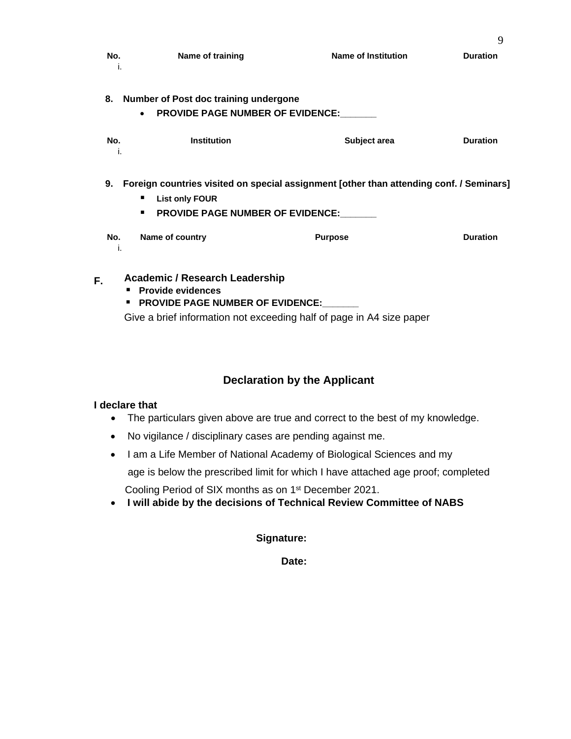| ------------ |                      |                            |          |
|--------------|----------------------|----------------------------|----------|
|              | Name of training<br> | <b>Name of Institution</b> | )uration |
|              |                      |                            |          |
|              |                      |                            |          |
|              |                      |                            |          |
|              |                      |                            |          |
|              |                      |                            |          |

|  | 8. Number of Post doc training undergone |  |
|--|------------------------------------------|--|
|  | <b>PROVIDE PAGE NUMBER OF EVIDENCE:</b>  |  |
|  |                                          |  |

| <b></b> |             |              |          |
|---------|-------------|--------------|----------|
| No.<br> | Institution | Subiect area | Duration |
|         |             |              |          |
|         |             |              |          |
|         |             |              |          |
|         |             |              |          |

|      | 9. Foreign countries visited on special assignment [other than attending conf. / Seminars] |
|------|--------------------------------------------------------------------------------------------|
|      | <b>List only FOUR</b>                                                                      |
|      | <b>PROVIDE PAGE NUMBER OF EVIDENCE:</b>                                                    |
| $ -$ |                                                                                            |

| IV.<br>. | . <b>.</b> |   |
|----------|------------|---|
|          |            |   |
|          |            |   |
|          |            |   |
|          |            |   |
|          |            |   |
|          |            |   |
|          |            |   |
|          |            |   |
|          |            | . |

| <b>Academic / Research Leadership</b><br>■ Provide evidences<br><b>PROVIDE PAGE NUMBER OF EVIDENCE:</b> |
|---------------------------------------------------------------------------------------------------------|
| Give a brief information not exceeding half of page in A4 size paper                                    |
|                                                                                                         |

### **Declaration by the Applicant**

#### **I declare that**

- The particulars given above are true and correct to the best of my knowledge.
- No vigilance / disciplinary cases are pending against me.
- I am a Life Member of National Academy of Biological Sciences and my age is below the prescribed limit for which I have attached age proof; completed Cooling Period of SIX months as on 1<sup>st</sup> December 2021.
- **I will abide by the decisions of Technical Review Committee of NABS**

### **Signature:**

**Date:**